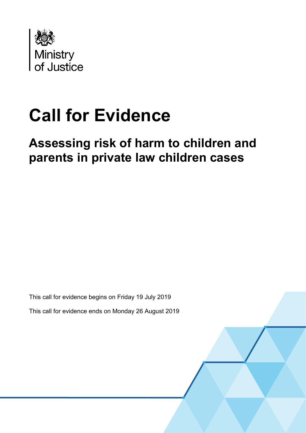

# **Call for Evidence**

## **Assessing risk of harm to children and parents in private law children cases**

This call for evidence begins on Friday 19 July 2019

This call for evidence ends on Monday 26 August 2019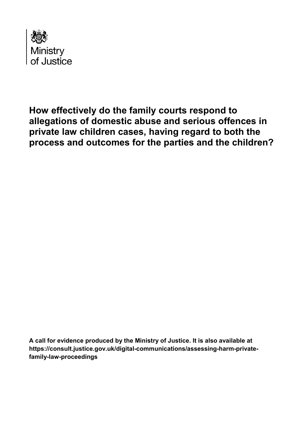

### **How effectively do the family courts respond to allegations of domestic abuse and serious offences in private law children cases, having regard to both the process and outcomes for the parties and the children?**

**A call for evidence produced by the Ministry of Justice. It is also available at [https://consult.justice.gov.uk/digital-communications/assessing-harm-private](https://consult.justice.gov.uk/digital-communications/assessing-harm-private-family-law-proceedings)[family-law-proceedings](https://consult.justice.gov.uk/digital-communications/assessing-harm-private-family-law-proceedings)**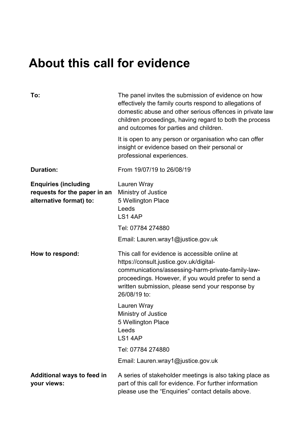## **About this call for evidence**

| To:                                                                                    | The panel invites the submission of evidence on how<br>effectively the family courts respond to allegations of<br>domestic abuse and other serious offences in private law<br>children proceedings, having regard to both the process<br>and outcomes for parties and children. |
|----------------------------------------------------------------------------------------|---------------------------------------------------------------------------------------------------------------------------------------------------------------------------------------------------------------------------------------------------------------------------------|
|                                                                                        | It is open to any person or organisation who can offer<br>insight or evidence based on their personal or<br>professional experiences.                                                                                                                                           |
| <b>Duration:</b>                                                                       | From 19/07/19 to 26/08/19                                                                                                                                                                                                                                                       |
| <b>Enquiries (including</b><br>requests for the paper in an<br>alternative format) to: | Lauren Wray<br>Ministry of Justice<br>5 Wellington Place<br>Leeds<br>LS14AP                                                                                                                                                                                                     |
|                                                                                        | Tel: 07784 274880                                                                                                                                                                                                                                                               |
|                                                                                        | Email: Lauren.wray1@justice.gov.uk                                                                                                                                                                                                                                              |
| How to respond:                                                                        | This call for evidence is accessible online at<br>https://consult.justice.gov.uk/digital-<br>communications/assessing-harm-private-family-law-<br>proceedings. However, if you would prefer to send a<br>written submission, please send your response by<br>26/08/19 to:       |
|                                                                                        | Lauren Wray<br>Ministry of Justice<br>5 Wellington Place<br>Leeds<br>LS14AP                                                                                                                                                                                                     |
|                                                                                        | Tel: 07784 274880                                                                                                                                                                                                                                                               |
|                                                                                        | Email: Lauren.wray1@justice.gov.uk                                                                                                                                                                                                                                              |
| <b>Additional ways to feed in</b><br>your views:                                       | A series of stakeholder meetings is also taking place as<br>part of this call for evidence. For further information<br>please use the "Enquiries" contact details above.                                                                                                        |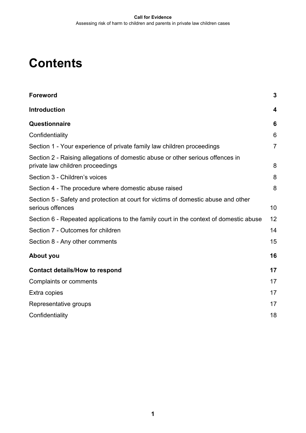## **Contents**

| <b>Foreword</b>                                                                                                    | 3              |
|--------------------------------------------------------------------------------------------------------------------|----------------|
| <b>Introduction</b>                                                                                                | 4              |
| Questionnaire                                                                                                      | 6              |
| Confidentiality                                                                                                    | 6              |
| Section 1 - Your experience of private family law children proceedings                                             | $\overline{7}$ |
| Section 2 - Raising allegations of domestic abuse or other serious offences in<br>private law children proceedings | 8              |
| Section 3 - Children's voices                                                                                      |                |
| Section 4 - The procedure where domestic abuse raised                                                              |                |
| Section 5 - Safety and protection at court for victims of domestic abuse and other<br>serious offences             | 10             |
| Section 6 - Repeated applications to the family court in the context of domestic abuse                             | 12             |
| Section 7 - Outcomes for children                                                                                  |                |
| Section 8 - Any other comments                                                                                     |                |
| About you                                                                                                          | 16             |
| <b>Contact details/How to respond</b>                                                                              | 17             |
| <b>Complaints or comments</b>                                                                                      | 17             |
| Extra copies                                                                                                       | 17             |
| Representative groups                                                                                              | 17             |
| Confidentiality                                                                                                    | 18             |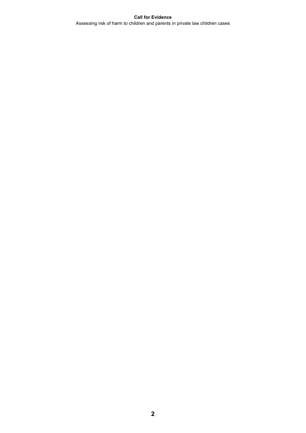#### **Call for Evidence**

Assessing risk of harm to children and parents in private law children cases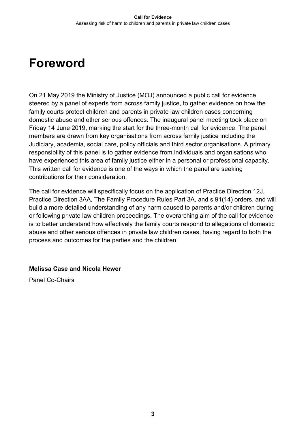## <span id="page-5-0"></span>**Foreword**

On 21 May 2019 the Ministry of Justice (MOJ) announced a public call for evidence steered by a panel of experts from across family justice, to gather evidence on how the family courts protect children and parents in private law children cases concerning domestic abuse and other serious offences. The inaugural panel meeting took place on Friday 14 June 2019, marking the start for the three-month call for evidence. The panel members are drawn from key organisations from across family justice including the Judiciary, academia, social care, policy officials and third sector organisations. A primary responsibility of this panel is to gather evidence from individuals and organisations who have experienced this area of family justice either in a personal or professional capacity. This written call for evidence is one of the ways in which the panel are seeking contributions for their consideration.

The call for evidence will specifically focus on the application of Practice Direction 12J, Practice Direction 3AA, The Family Procedure Rules Part 3A, and s.91(14) orders, and will build a more detailed understanding of any harm caused to parents and/or children during or following private law children proceedings. The overarching aim of the call for evidence is to better understand how effectively the family courts respond to allegations of domestic abuse and other serious offences in private law children cases, having regard to both the process and outcomes for the parties and the children.

#### **Melissa Case and Nicola Hewer**

Panel Co-Chairs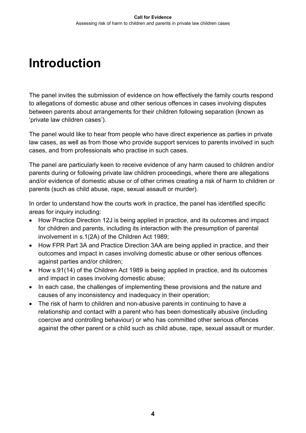## <span id="page-6-0"></span>**Introduction**

The panel invites the submission of evidence on how effectively the family courts respond to allegations of domestic abuse and other serious offences in cases involving disputes between parents about arrangements for their children following separation (known as 'private law children cases').

The panel would like to hear from people who have direct experience as parties in private law cases, as well as from those who provide support services to parents involved in such cases, and from professionals who practise in such cases.

The panel are particularly keen to receive evidence of any harm caused to children and/or parents during or following private law children proceedings, where there are allegations and/or evidence of domestic abuse or of other crimes creating a risk of harm to children or parents (such as child abuse, rape, sexual assault or murder).

In order to understand how the courts work in practice, the panel has identified specific areas for inquiry including:

- How Practice Direction 12J is being applied in practice, and its outcomes and impact for children and parents, including its interaction with the presumption of parental involvement in s.1(2A) of the Children Act 1989;
- How FPR Part 3A and Practice Direction 3AA are being applied in practice, and their outcomes and impact in cases involving domestic abuse or other serious offences against parties and/or children;
- How s.91(14) of the Children Act 1989 is being applied in practice, and its outcomes and impact in cases involving domestic abuse;
- In each case, the challenges of implementing these provisions and the nature and causes of any inconsistency and inadequacy in their operation;
- The risk of harm to children and non-abusive parents in continuing to have a relationship and contact with a parent who has been domestically abusive (including coercive and controlling behaviour) or who has committed other serious offences against the other parent or a child such as child abuse, rape, sexual assault or murder.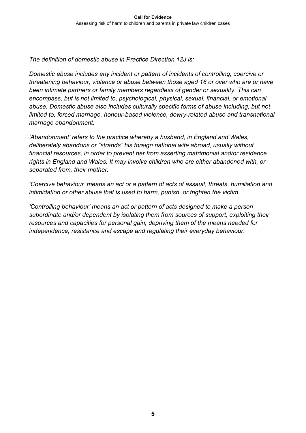*The definition of domestic abuse in Practice Direction 12J is:*

*Domestic abuse includes any incident or pattern of incidents of controlling, coercive or threatening behaviour, violence or abuse between those aged 16 or over who are or have been intimate partners or family members regardless of gender or sexuality. This can encompass, but is not limited to, psychological, physical, sexual, financial, or emotional abuse. Domestic abuse also includes culturally specific forms of abuse including, but not limited to, forced marriage, honour-based violence, dowry-related abuse and transnational marriage abandonment.*

*'Abandonment' refers to the practice whereby a husband, in England and Wales, deliberately abandons or "strands" his foreign national wife abroad, usually without financial resources, in order to prevent her from asserting matrimonial and/or residence rights in England and Wales. It may involve children who are either abandoned with, or separated from, their mother.*

*'Coercive behaviour' means an act or a pattern of acts of assault, threats, humiliation and intimidation or other abuse that is used to harm, punish, or frighten the victim.*

*'Controlling behaviour' means an act or pattern of acts designed to make a person subordinate and/or dependent by isolating them from sources of support, exploiting their resources and capacities for personal gain, depriving them of the means needed for independence, resistance and escape and regulating their everyday behaviour.*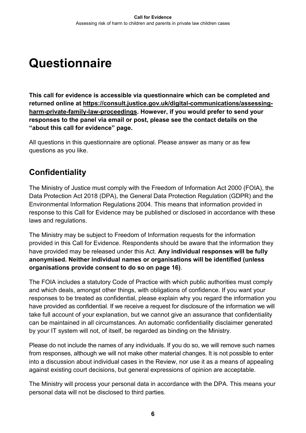## <span id="page-8-0"></span>**Questionnaire**

**This call for evidence is accessible via questionnaire which can be completed and returned online at [https://consult.justice.gov.uk/digital-communications/assessing](https://consult.justice.gov.uk/digital-communications/assessing-harm-private-family-law-proceedings)[harm-private-family-law-proceedings.](https://consult.justice.gov.uk/digital-communications/assessing-harm-private-family-law-proceedings) However, if you would prefer to send your responses to the panel via email or post, please see the contact details on the "about this call for evidence" page.**

All questions in this questionnaire are optional. Please answer as many or as few questions as you like.

### <span id="page-8-1"></span>**Confidentiality**

The Ministry of Justice must comply with the Freedom of Information Act 2000 (FOIA), the Data Protection Act 2018 (DPA), the General Data Protection Regulation (GDPR) and the Environmental Information Regulations 2004. This means that information provided in response to this Call for Evidence may be published or disclosed in accordance with these laws and regulations.

The Ministry may be subject to Freedom of Information requests for the information provided in this Call for Evidence. Respondents should be aware that the information they have provided may be released under this Act. **Any individual responses will be fully anonymised. Neither individual names or organisations will be identified (unless organisations provide consent to do so on page [16\)](#page-18-0)**.

The FOIA includes a statutory Code of Practice with which public authorities must comply and which deals, amongst other things, with obligations of confidence. If you want your responses to be treated as confidential, please explain why you regard the information you have provided as confidential. If we receive a request for disclosure of the information we will take full account of your explanation, but we cannot give an assurance that confidentiality can be maintained in all circumstances. An automatic confidentiality disclaimer generated by your IT system will not, of itself, be regarded as binding on the Ministry.

Please do not include the names of any individuals. If you do so, we will remove such names from responses, although we will not make other material changes. It is not possible to enter into a discussion about individual cases in the Review, nor use it as a means of appealing against existing court decisions, but general expressions of opinion are acceptable.

The Ministry will process your personal data in accordance with the DPA. This means your personal data will not be disclosed to third parties.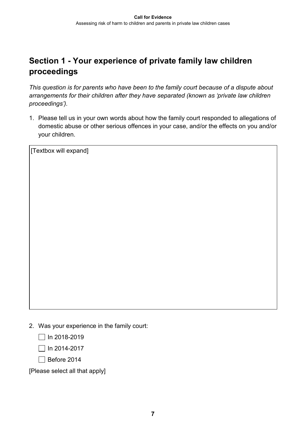## <span id="page-9-0"></span>**Section 1 - Your experience of private family law children proceedings**

*This question is for parents who have been to the family court because of a dispute about arrangements for their children after they have separated (known as 'private law children proceedings').*

1. Please tell us in your own words about how the family court responded to allegations of domestic abuse or other serious offences in your case, and/or the effects on you and/or your children.

[Textbox will expand]

2. Was your experience in the family court:

 $\Box$  In 2018-2019

 $\Box$  In 2014-2017

 $\Box$  Before 2014

[Please select all that apply]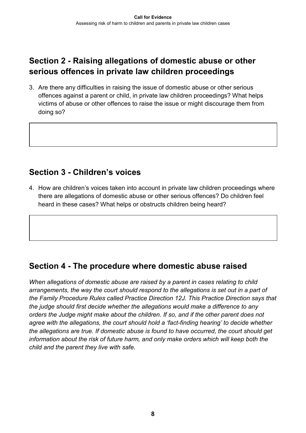### <span id="page-10-0"></span>**Section 2 - Raising allegations of domestic abuse or other serious offences in private law children proceedings**

3. Are there any difficulties in raising the issue of domestic abuse or other serious offences against a parent or child, in private law children proceedings? What helps victims of abuse or other offences to raise the issue or might discourage them from doing so?

### <span id="page-10-1"></span>**Section 3 - Children's voices**

4. How are children's voices taken into account in private law children proceedings where there are allegations of domestic abuse or other serious offences? Do children feel heard in these cases? What helps or obstructs children being heard?

### <span id="page-10-2"></span>**Section 4 - The procedure where domestic abuse raised**

*When allegations of domestic abuse are raised by a parent in cases relating to child arrangements, the way the court should respond to the allegations is set out in a part of the Family Procedure Rules called Practice Direction 12J. This Practice Direction says that the judge should first decide whether the allegations would make a difference to any orders the Judge might make about the children. If so, and if the other parent does not agree with the allegations, the court should hold a 'fact-finding hearing' to decide whether the allegations are true. If domestic abuse is found to have occurred, the court should get information about the risk of future harm, and only make orders which will keep both the child and the parent they live with safe.*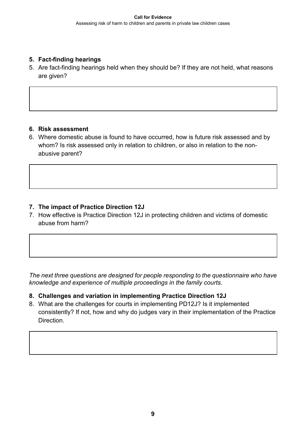#### **5. Fact-finding hearings**

5. Are fact-finding hearings held when they should be? If they are not held, what reasons are given?

#### **6. Risk assessment**

6. Where domestic abuse is found to have occurred, how is future risk assessed and by whom? Is risk assessed only in relation to children, or also in relation to the nonabusive parent?

#### **7. The impact of Practice Direction 12J**

7. How effective is Practice Direction 12J in protecting children and victims of domestic abuse from harm?

*The next three questions are designed for people responding to the questionnaire who have knowledge and experience of multiple proceedings in the family courts.* 

#### **8. Challenges and variation in implementing Practice Direction 12J**

8. What are the challenges for courts in implementing PD12J? Is it implemented consistently? If not, how and why do judges vary in their implementation of the Practice Direction.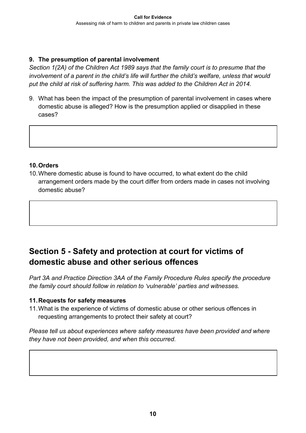#### **9. The presumption of parental involvement**

*Section 1(2A) of the Children Act 1989 says that the family court is to presume that the involvement of a parent in the child's life will further the child's welfare, unless that would put the child at risk of suffering harm. This was added to the Children Act in 2014.* 

9. What has been the impact of the presumption of parental involvement in cases where domestic abuse is alleged? How is the presumption applied or disapplied in these cases?

#### **10.Orders**

10.Where domestic abuse is found to have occurred, to what extent do the child arrangement orders made by the court differ from orders made in cases not involving domestic abuse?

### <span id="page-12-0"></span>**Section 5 - Safety and protection at court for victims of domestic abuse and other serious offences**

*Part 3A and Practice Direction 3AA of the Family Procedure Rules specify the procedure the family court should follow in relation to 'vulnerable' parties and witnesses.*

#### **11.Requests for safety measures**

11.What is the experience of victims of domestic abuse or other serious offences in requesting arrangements to protect their safety at court?

*Please tell us about experiences where safety measures have been provided and where they have not been provided, and when this occurred.*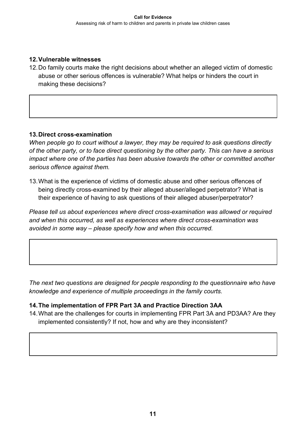#### **12.Vulnerable witnesses**

12.Do family courts make the right decisions about whether an alleged victim of domestic abuse or other serious offences is vulnerable? What helps or hinders the court in making these decisions?

#### **13.Direct cross-examination**

*When people go to court without a lawyer, they may be required to ask questions directly of the other party, or to face direct questioning by the other party. This can have a serious impact where one of the parties has been abusive towards the other or committed another serious offence against them.* 

13.What is the experience of victims of domestic abuse and other serious offences of being directly cross-examined by their alleged abuser/alleged perpetrator? What is their experience of having to ask questions of their alleged abuser/perpetrator?

*Please tell us about experiences where direct cross-examination was allowed or required and when this occurred, as well as experiences where direct cross-examination was avoided in some way – please specify how and when this occurred.* 

*The next two questions are designed for people responding to the questionnaire who have knowledge and experience of multiple proceedings in the family courts.*

#### **14.The implementation of FPR Part 3A and Practice Direction 3AA**

14.What are the challenges for courts in implementing FPR Part 3A and PD3AA? Are they implemented consistently? If not, how and why are they inconsistent?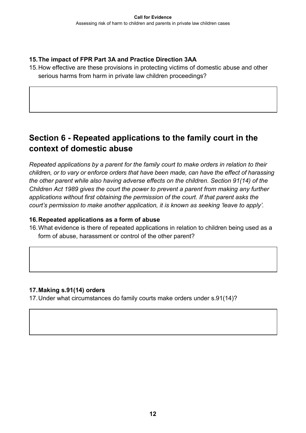#### **15.The impact of FPR Part 3A and Practice Direction 3AA**

15.How effective are these provisions in protecting victims of domestic abuse and other serious harms from harm in private law children proceedings?

### <span id="page-14-0"></span>**Section 6 - Repeated applications to the family court in the context of domestic abuse**

*Repeated applications by a parent for the family court to make orders in relation to their children, or to vary or enforce orders that have been made, can have the effect of harassing the other parent while also having adverse effects on the children. Section 91(14) of the Children Act 1989 gives the court the power to prevent a parent from making any further applications without first obtaining the permission of the court. If that parent asks the court's permission to make another application, it is known as seeking 'leave to apply'.* 

#### **16.Repeated applications as a form of abuse**

16.What evidence is there of repeated applications in relation to children being used as a form of abuse, harassment or control of the other parent?

#### **17.Making s.91(14) orders**

17.Under what circumstances do family courts make orders under s.91(14)?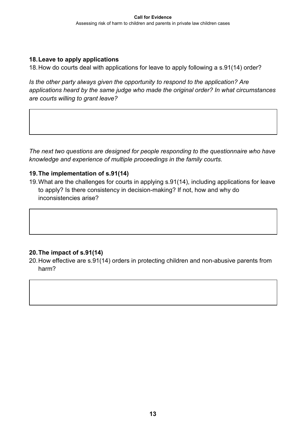#### **18.Leave to apply applications**

18.How do courts deal with applications for leave to apply following a s.91(14) order?

*Is the other party always given the opportunity to respond to the application? Are applications heard by the same judge who made the original order? In what circumstances are courts willing to grant leave?*

*The next two questions are designed for people responding to the questionnaire who have knowledge and experience of multiple proceedings in the family courts.*

#### **19.The implementation of s.91(14)**

19.What are the challenges for courts in applying s.91(14), including applications for leave to apply? Is there consistency in decision-making? If not, how and why do inconsistencies arise?

#### **20.The impact of s.91(14)**

20.How effective are s.91(14) orders in protecting children and non-abusive parents from harm?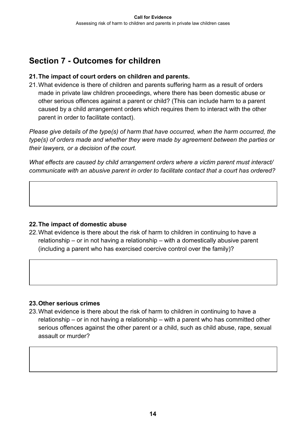## <span id="page-16-0"></span>**Section 7 - Outcomes for children**

#### **21.The impact of court orders on children and parents.**

21.What evidence is there of children and parents suffering harm as a result of orders made in private law children proceedings, where there has been domestic abuse or other serious offences against a parent or child? (This can include harm to a parent caused by a child arrangement orders which requires them to interact with the other parent in order to facilitate contact).

*Please give details of the type(s) of harm that have occurred, when the harm occurred, the type(s) of orders made and whether they were made by agreement between the parties or their lawyers, or a decision of the court.* 

*What effects are caused by child arrangement orders where a victim parent must interact/ communicate with an abusive parent in order to facilitate contact that a court has ordered?* 

#### **22.The impact of domestic abuse**

22.What evidence is there about the risk of harm to children in continuing to have a relationship – or in not having a relationship – with a domestically abusive parent (including a parent who has exercised coercive control over the family)?

#### **23.Other serious crimes**

23.What evidence is there about the risk of harm to children in continuing to have a relationship – or in not having a relationship – with a parent who has committed other serious offences against the other parent or a child, such as child abuse, rape, sexual assault or murder?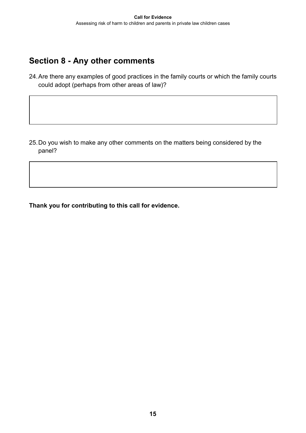### <span id="page-17-0"></span>**Section 8 - Any other comments**

24.Are there any examples of good practices in the family courts or which the family courts could adopt (perhaps from other areas of law)?

25.Do you wish to make any other comments on the matters being considered by the panel?

**Thank you for contributing to this call for evidence.**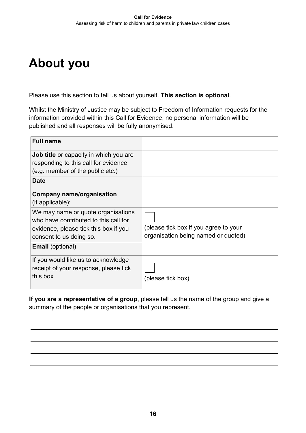## <span id="page-18-0"></span>**About you**

Please use this section to tell us about yourself. **This section is optional**.

Whilst the Ministry of Justice may be subject to Freedom of Information requests for the information provided within this Call for Evidence, no personal information will be published and all responses will be fully anonymised.

| <b>Full name</b>                              |                                       |
|-----------------------------------------------|---------------------------------------|
| <b>Job title</b> or capacity in which you are |                                       |
| responding to this call for evidence          |                                       |
| (e.g. member of the public etc.)              |                                       |
| <b>Date</b>                                   |                                       |
| Company name/organisation                     |                                       |
| (if applicable):                              |                                       |
| We may name or quote organisations            |                                       |
| who have contributed to this call for         |                                       |
| evidence, please tick this box if you         | (please tick box if you agree to your |
| consent to us doing so.                       | organisation being named or quoted)   |
| <b>Email</b> (optional)                       |                                       |
| If you would like us to acknowledge           |                                       |
| receipt of your response, please tick         |                                       |
| this box                                      | (please tick box)                     |

**If you are a representative of a group**, please tell us the name of the group and give a summary of the people or organisations that you represent.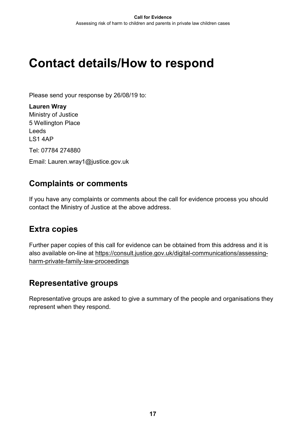## <span id="page-19-0"></span>**Contact details/How to respond**

Please send your response by 26/08/19 to:

**Lauren Wray** Ministry of Justice 5 Wellington Place Leeds LS1 4AP

Tel: 07784 274880

Email: [Lauren.wray1@justice.gov.uk](mailto:Lauren.wray1@justice.gov.uk)

#### <span id="page-19-1"></span>**Complaints or comments**

If you have any complaints or comments about the call for evidence process you should contact the Ministry of Justice at the above address.

#### <span id="page-19-2"></span>**Extra copies**

Further paper copies of this call for evidence can be obtained from this address and it is also available on-line at [https://consult.justice.gov.uk/digital-communications/assessing](https://consult.justice.gov.uk/digital-communications/assessing-harm-private-family-law-proceedings)[harm-private-family-law-proceedings](https://consult.justice.gov.uk/digital-communications/assessing-harm-private-family-law-proceedings)

#### <span id="page-19-3"></span>**Representative groups**

Representative groups are asked to give a summary of the people and organisations they represent when they respond.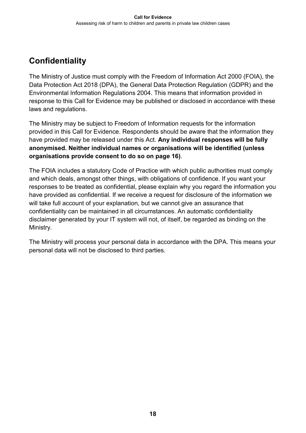## <span id="page-20-0"></span>**Confidentiality**

The Ministry of Justice must comply with the Freedom of Information Act 2000 (FOIA), the Data Protection Act 2018 (DPA), the General Data Protection Regulation (GDPR) and the Environmental Information Regulations 2004. This means that information provided in response to this Call for Evidence may be published or disclosed in accordance with these laws and regulations.

The Ministry may be subject to Freedom of Information requests for the information provided in this Call for Evidence. Respondents should be aware that the information they have provided may be released under this Act. **Any individual responses will be fully anonymised. Neither individual names or organisations will be identified (unless organisations provide consent to do so on page [16\)](#page-18-0)**.

The FOIA includes a statutory Code of Practice with which public authorities must comply and which deals, amongst other things, with obligations of confidence. If you want your responses to be treated as confidential, please explain why you regard the information you have provided as confidential. If we receive a request for disclosure of the information we will take full account of your explanation, but we cannot give an assurance that confidentiality can be maintained in all circumstances. An automatic confidentiality disclaimer generated by your IT system will not, of itself, be regarded as binding on the Ministry.

The Ministry will process your personal data in accordance with the DPA. This means your personal data will not be disclosed to third parties.